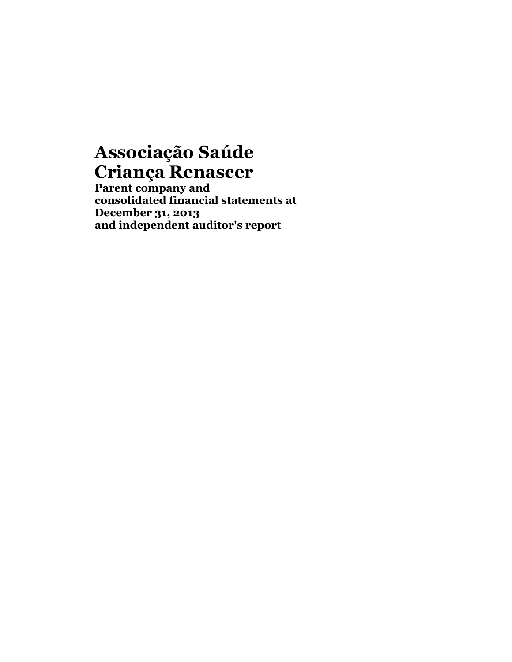**Parent company and consolidated financial statements at December 31, 2013 and independent auditor's report**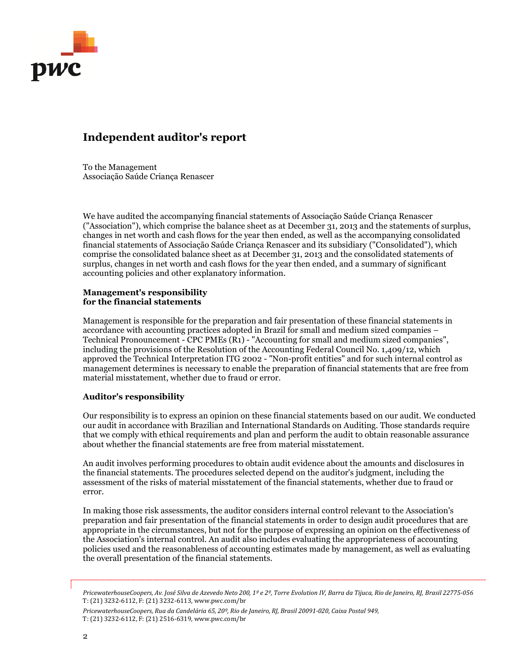

## **Independent auditor's report**

To the Management Associação Saúde Criança Renascer

We have audited the accompanying financial statements of Associação Saúde Criança Renascer ("Association"), which comprise the balance sheet as at December 31, 2013 and the statements of surplus, changes in net worth and cash flows for the year then ended, as well as the accompanying consolidated financial statements of Associação Saúde Criança Renascer and its subsidiary ("Consolidated"), which comprise the consolidated balance sheet as at December 31, 2013 and the consolidated statements of surplus, changes in net worth and cash flows for the year then ended, and a summary of significant accounting policies and other explanatory information.

## **Management's responsibility for the financial statements**

Management is responsible for the preparation and fair presentation of these financial statements in accordance with accounting practices adopted in Brazil for small and medium sized companies – Technical Pronouncement - CPC PMEs (R1) - "Accounting for small and medium sized companies", including the provisions of the Resolution of the Accounting Federal Council No. 1,409/12, which approved the Technical Interpretation ITG 2002 - "Non-profit entities" and for such internal control as management determines is necessary to enable the preparation of financial statements that are free from material misstatement, whether due to fraud or error.

## **Auditor's responsibility**

Our responsibility is to express an opinion on these financial statements based on our audit. We conducted our audit in accordance with Brazilian and International Standards on Auditing. Those standards require that we comply with ethical requirements and plan and perform the audit to obtain reasonable assurance about whether the financial statements are free from material misstatement.

An audit involves performing procedures to obtain audit evidence about the amounts and disclosures in the financial statements. The procedures selected depend on the auditor's judgment, including the assessment of the risks of material misstatement of the financial statements, whether due to fraud or error.

In making those risk assessments, the auditor considers internal control relevant to the Association's preparation and fair presentation of the financial statements in order to design audit procedures that are appropriate in the circumstances, but not for the purpose of expressing an opinion on the effectiveness of the Association's internal control. An audit also includes evaluating the appropriateness of accounting policies used and the reasonableness of accounting estimates made by management, as well as evaluating the overall presentation of the financial statements.

*PricewaterhouseCoopers, Av. José Silva de Azevedo Neto 200, 1º e 2º, Torre Evolution IV, Barra da Tijuca, Rio de Janeiro, RJ, Brasil 22775-056* T: (21) 3232-6112, F: (21) 3232-6113, www.pwc.com/br

*PricewaterhouseCoopers, Rua da Candelária 65, 20º, Rio de Janeiro, RJ, Brasil 20091-020, Caixa Postal 949,* T: (21) 3232-6112, F: (21) 2516-6319, www.pwc.com/br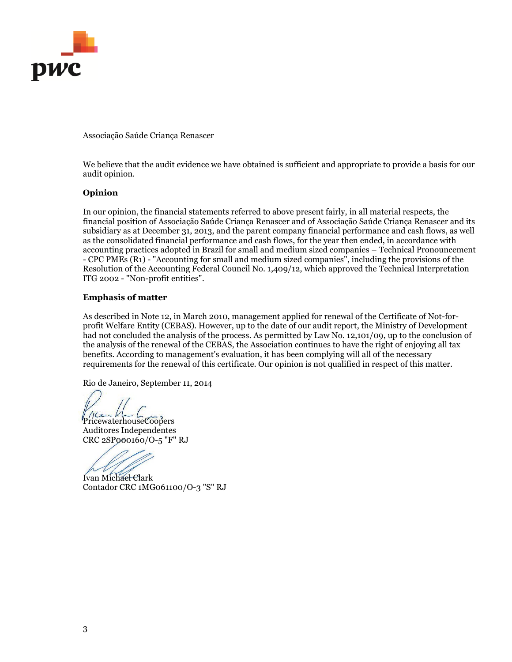

We believe that the audit evidence we have obtained is sufficient and appropriate to provide a basis for our audit opinion.

## **Opinion**

In our opinion, the financial statements referred to above present fairly, in all material respects, the financial position of Associação Saúde Criança Renascer and of Associação Saúde Criança Renascer and its subsidiary as at December 31, 2013, and the parent company financial performance and cash flows, as well as the consolidated financial performance and cash flows, for the year then ended, in accordance with accounting practices adopted in Brazil for small and medium sized companies – Technical Pronouncement - CPC PMEs (R1) - "Accounting for small and medium sized companies", including the provisions of the Resolution of the Accounting Federal Council No. 1,409/12, which approved the Technical Interpretation ITG 2002 - "Non-profit entities".

## **Emphasis of matter**

As described in Note 12, in March 2010, management applied for renewal of the Certificate of Not-forprofit Welfare Entity (CEBAS). However, up to the date of our audit report, the Ministry of Development had not concluded the analysis of the process. As permitted by Law No. 12,101/09, up to the conclusion of the analysis of the renewal of the CEBAS, the Association continues to have the right of enjoying all tax benefits. According to management's evaluation, it has been complying will all of the necessary requirements for the renewal of this certificate. Our opinion is not qualified in respect of this matter.

Rio de Janeiro, September 11, 2014

Price VLLCCOOPERS Auditores Independentes CRC 2SP000160/O-5 "F" RJ

Ivan Michael Clark Contador CRC 1MG061100/O-3 "S" RJ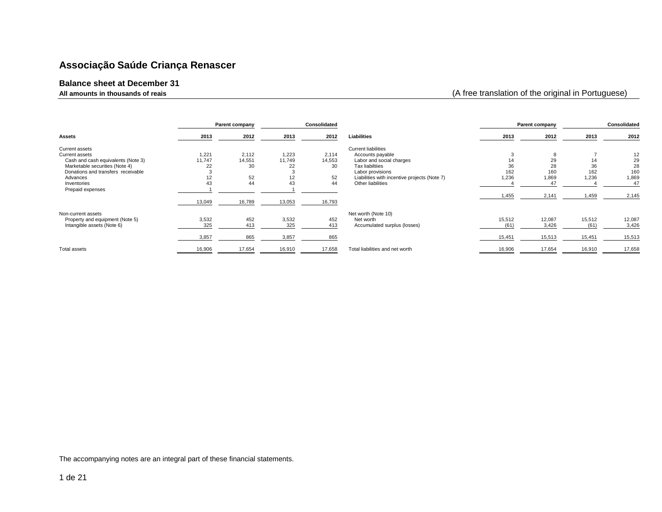#### **Balance sheet at December 31**

**All amounts in thousands of reais** (A free translation of the original in Portuguese)

|                                    |        | Parent company |        | Consolidated |                                              |        | Parent company |        | Consolidated |
|------------------------------------|--------|----------------|--------|--------------|----------------------------------------------|--------|----------------|--------|--------------|
| <b>Assets</b>                      | 2013   | 2012           | 2013   | 2012         | Liabilities                                  | 2013   | 2012           | 2013   | 2012         |
| Current assets                     |        |                |        |              | <b>Current liabilities</b>                   |        |                |        |              |
| Current assets                     | 1,221  | 2,112          | 1,223  | 2,114        | Accounts payable                             |        |                |        | 12           |
| Cash and cash equivalents (Note 3) | 11,747 | 14,551         | 11,749 | 14,553       | Labor and social charges                     |        | 29             | 14     | 29           |
| Marketable securities (Note 4)     | 22     | 30             | 22     | 30           | Tax liabiltiies                              | 36     | 28             | 36     | 28           |
| Donations and transfers receivable |        |                |        |              | Labor provisions                             | 162    | 160            | 162    | 160          |
| Advances                           | $\sim$ | 52             | 12     | 52           | Liabilities with incentive projects (Note 7) | 1,236  | 1,869          | 1.236  | 1,869        |
| Inventories                        | 43     | 44             | 43     | 44           | Other liabilities                            |        | 47             |        | 47           |
| Prepaid expenses                   |        |                |        |              |                                              |        |                |        |              |
|                                    |        |                |        |              |                                              | 1,455  | 2,141          | 1,459  | 2,145        |
|                                    | 13,049 | 16,789         | 13,053 | 16,793       |                                              |        |                |        |              |
| Non-current assets                 |        |                |        |              | Net worth (Note 10)                          |        |                |        |              |
| Property and equipment (Note 5)    | 3,532  | 452            | 3,532  | 452          | Net worth                                    | 15,512 | 12,087         | 15,512 | 12,087       |
| Intangible assets (Note 6)         | 325    | 413            | 325    | 413          | Accumulated surplus (losses)                 | (61)   | 3,426          | (61)   | 3,426        |
|                                    | 3,857  | 865            | 3,857  | 865          |                                              | 15,451 | 15,513         | 15,451 | 15,513       |
| Total assets                       | 16,906 | 17,654         | 16,910 | 17,658       | Total liabilities and net worth              | 16,906 | 17,654         | 16,910 | 17,658       |
|                                    |        |                |        |              |                                              |        |                |        |              |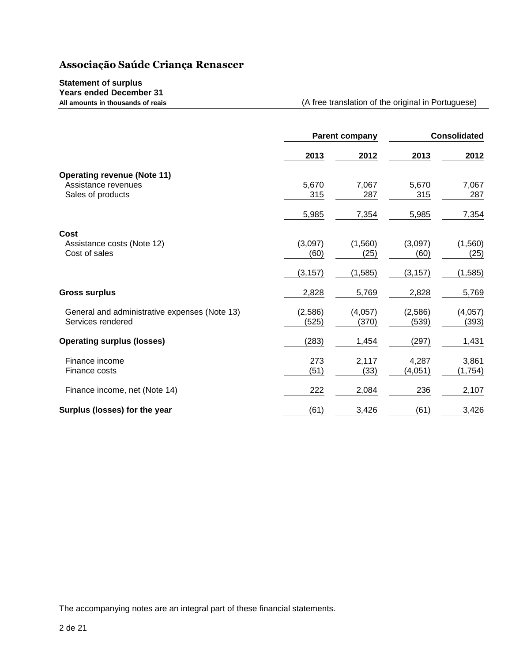## **Statement of surplus Years ended December 31**

**All amounts in thousands of reais** (A free translation of the original in Portuguese)

|                                                                                |                  | <b>Parent company</b> |                  | <b>Consolidated</b> |  |
|--------------------------------------------------------------------------------|------------------|-----------------------|------------------|---------------------|--|
|                                                                                | 2013             | 2012                  | 2013             | 2012                |  |
| <b>Operating revenue (Note 11)</b><br>Assistance revenues<br>Sales of products | 5,670<br>315     | 7,067<br>287          | 5,670<br>315     | 7,067<br>287        |  |
|                                                                                | 5,985            | 7,354                 | 5,985            | 7,354               |  |
| Cost<br>Assistance costs (Note 12)<br>Cost of sales                            | (3,097)<br>(60)  | (1,560)<br>(25)       | (3,097)<br>(60)  | (1,560)<br>(25)     |  |
|                                                                                | (3, 157)         | (1,585)               | (3, 157)         | (1,585)             |  |
| <b>Gross surplus</b>                                                           | 2,828            | 5,769                 | 2,828            | 5,769               |  |
| General and administrative expenses (Note 13)<br>Services rendered             | (2,586)<br>(525) | (4,057)<br>(370)      | (2,586)<br>(539) | (4,057)<br>(393)    |  |
| <b>Operating surplus (losses)</b>                                              | (283)            | 1,454                 | (297)            | 1,431               |  |
| Finance income<br>Finance costs                                                | 273<br>(51)      | 2,117<br>(33)         | 4,287<br>(4,051) | 3,861<br>(1,754)    |  |
| Finance income, net (Note 14)                                                  | 222              | 2,084                 | 236              | 2,107               |  |
| Surplus (losses) for the year                                                  | (61)             | 3,426                 | (61)             | 3,426               |  |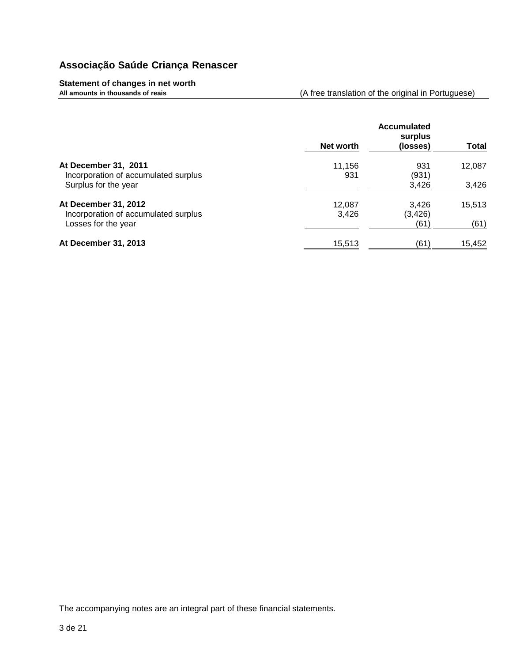## **Statement of changes in net worth**

**All amounts in thousands of reais** (A free translation of the original in Portuguese)

|                                                                                      | Net worth       | <b>Accumulated</b><br>surplus<br>(losses) | <b>Total</b>    |
|--------------------------------------------------------------------------------------|-----------------|-------------------------------------------|-----------------|
| At December 31, 2011<br>Incorporation of accumulated surplus<br>Surplus for the year | 11,156<br>931   | 931<br>(931)<br>3,426                     | 12,087<br>3,426 |
| At December 31, 2012<br>Incorporation of accumulated surplus<br>Losses for the year  | 12,087<br>3,426 | 3,426<br>(3, 426)<br>(61)                 | 15,513<br>(61)  |
| At December 31, 2013                                                                 | 15,513          | (61)                                      | 15,452          |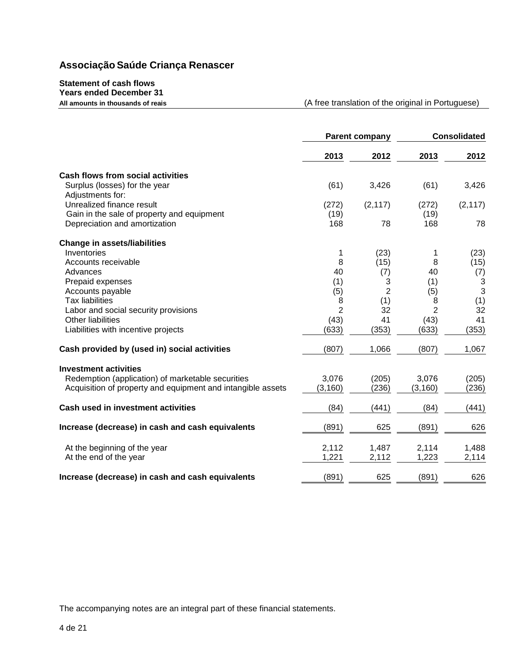## **Statement of cash flows Years ended December 31**

(A free translation of the original in Portuguese)

|                                                             |                | Parent company |                | <b>Consolidated</b> |  |
|-------------------------------------------------------------|----------------|----------------|----------------|---------------------|--|
|                                                             | 2013           | 2012           | 2013           | 2012                |  |
| <b>Cash flows from social activities</b>                    |                |                |                |                     |  |
| Surplus (losses) for the year<br>Adjustments for:           | (61)           | 3,426          | (61)           | 3,426               |  |
| Unrealized finance result                                   | (272)          | (2, 117)       | (272)          | (2, 117)            |  |
| Gain in the sale of property and equipment                  | (19)           |                | (19)           |                     |  |
| Depreciation and amortization                               | 168            | 78             | 168            | 78                  |  |
| <b>Change in assets/liabilities</b>                         |                |                |                |                     |  |
| Inventories                                                 | 1              | (23)           | 1              | (23)                |  |
| Accounts receivable                                         | 8              | (15)           | 8              | (15)                |  |
| Advances                                                    | 40             | (7)            | 40             | (7)                 |  |
| Prepaid expenses                                            | (1)            | 3              | (1)            | 3                   |  |
| Accounts payable                                            | (5)            | $\overline{2}$ | (5)            | 3                   |  |
| <b>Tax liabilities</b>                                      | 8              | (1)            | 8              | (1)                 |  |
| Labor and social security provisions                        | $\overline{2}$ | 32             | $\overline{2}$ | 32                  |  |
| Other liabilities                                           | (43)           | 41             | (43)           | 41                  |  |
| Liabilities with incentive projects                         | (633)          | (353)          | (633)          | (353)               |  |
| Cash provided by (used in) social activities                | (807)          | 1,066          | (807)          | 1,067               |  |
| <b>Investment activities</b>                                |                |                |                |                     |  |
| Redemption (application) of marketable securities           | 3,076          | (205)          | 3,076          | (205)               |  |
| Acquisition of property and equipment and intangible assets | (3, 160)       | (236)          | (3, 160)       | (236)               |  |
|                                                             |                |                |                |                     |  |
| <b>Cash used in investment activities</b>                   | (84)           | (441)          | (84)           | (441)               |  |
| Increase (decrease) in cash and cash equivalents            | (891)          | 625            | (891)          | 626                 |  |
| At the beginning of the year                                | 2,112          | 1,487          | 2,114          | 1,488               |  |
| At the end of the year                                      | 1,221          | 2,112          | 1,223          | 2,114               |  |
| Increase (decrease) in cash and cash equivalents            | (891)          | 625            | (891)          | 626                 |  |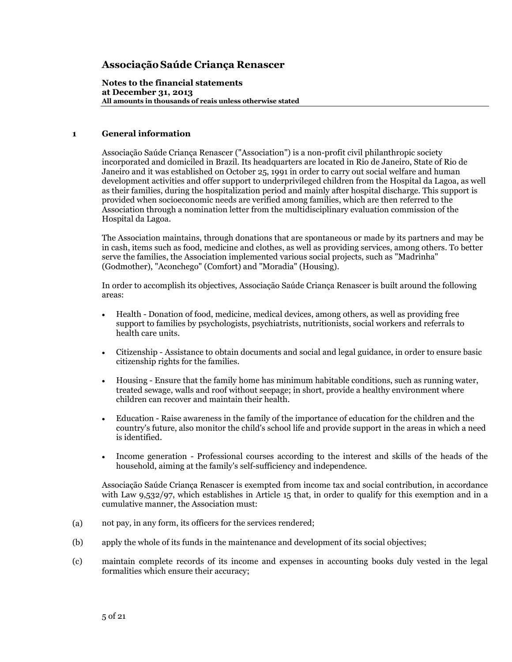**Notes to the financial statements at December 31, 2013 All amounts in thousands of reais unless otherwise stated**

## **1 General information**

Associação Saúde Criança Renascer ("Association") is a non-profit civil philanthropic society incorporated and domiciled in Brazil. Its headquarters are located in Rio de Janeiro, State of Rio de Janeiro and it was established on October 25, 1991 in order to carry out social welfare and human development activities and offer support to underprivileged children from the Hospital da Lagoa, as well as their families, during the hospitalization period and mainly after hospital discharge. This support is provided when socioeconomic needs are verified among families, which are then referred to the Association through a nomination letter from the multidisciplinary evaluation commission of the Hospital da Lagoa.

The Association maintains, through donations that are spontaneous or made by its partners and may be in cash, items such as food, medicine and clothes, as well as providing services, among others. To better serve the families, the Association implemented various social projects, such as "Madrinha" (Godmother), "Aconchego" (Comfort) and "Moradia" (Housing).

In order to accomplish its objectives, Associação Saúde Criança Renascer is built around the following areas:

- Health Donation of food, medicine, medical devices, among others, as well as providing free support to families by psychologists, psychiatrists, nutritionists, social workers and referrals to health care units.
- Citizenship Assistance to obtain documents and social and legal guidance, in order to ensure basic citizenship rights for the families.
- Housing Ensure that the family home has minimum habitable conditions, such as running water, treated sewage, walls and roof without seepage; in short, provide a healthy environment where children can recover and maintain their health.
- Education Raise awareness in the family of the importance of education for the children and the country's future, also monitor the child's school life and provide support in the areas in which a need is identified.
- Income generation Professional courses according to the interest and skills of the heads of the household, aiming at the family's self-sufficiency and independence.

Associação Saúde Criança Renascer is exempted from income tax and social contribution, in accordance with Law 9,532/97, which establishes in Article 15 that, in order to qualify for this exemption and in a cumulative manner, the Association must:

- (a) not pay, in any form, its officers for the services rendered;
- (b) apply the whole of its funds in the maintenance and development of its social objectives;
- (c) maintain complete records of its income and expenses in accounting books duly vested in the legal formalities which ensure their accuracy;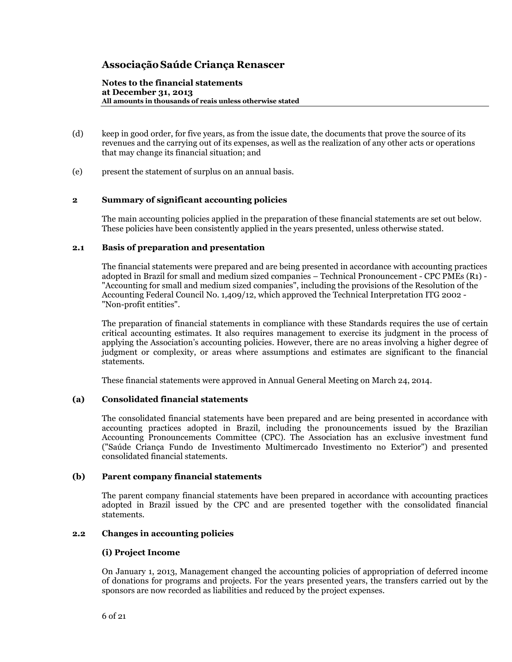**Notes to the financial statements at December 31, 2013 All amounts in thousands of reais unless otherwise stated**

- (d) keep in good order, for five years, as from the issue date, the documents that prove the source of its revenues and the carrying out of its expenses, as well as the realization of any other acts or operations that may change its financial situation; and
- (e) present the statement of surplus on an annual basis.

## **2 Summary of significant accounting policies**

The main accounting policies applied in the preparation of these financial statements are set out below. These policies have been consistently applied in the years presented, unless otherwise stated.

## **2.1 Basis of preparation and presentation**

The financial statements were prepared and are being presented in accordance with accounting practices adopted in Brazil for small and medium sized companies – Technical Pronouncement - CPC PMEs (R1) - "Accounting for small and medium sized companies", including the provisions of the Resolution of the Accounting Federal Council No. 1,409/12, which approved the Technical Interpretation ITG 2002 - "Non-profit entities".

The preparation of financial statements in compliance with these Standards requires the use of certain critical accounting estimates. It also requires management to exercise its judgment in the process of applying the Association's accounting policies. However, there are no areas involving a higher degree of judgment or complexity, or areas where assumptions and estimates are significant to the financial statements.

These financial statements were approved in Annual General Meeting on March 24, 2014.

## **(a) Consolidated financial statements**

The consolidated financial statements have been prepared and are being presented in accordance with accounting practices adopted in Brazil, including the pronouncements issued by the Brazilian Accounting Pronouncements Committee (CPC). The Association has an exclusive investment fund ("Saúde Criança Fundo de Investimento Multimercado Investimento no Exterior") and presented consolidated financial statements.

## **(b) Parent company financial statements**

The parent company financial statements have been prepared in accordance with accounting practices adopted in Brazil issued by the CPC and are presented together with the consolidated financial statements.

## **2.2 Changes in accounting policies**

## **(i) Project Income**

On January 1, 2013, Management changed the accounting policies of appropriation of deferred income of donations for programs and projects. For the years presented years, the transfers carried out by the sponsors are now recorded as liabilities and reduced by the project expenses.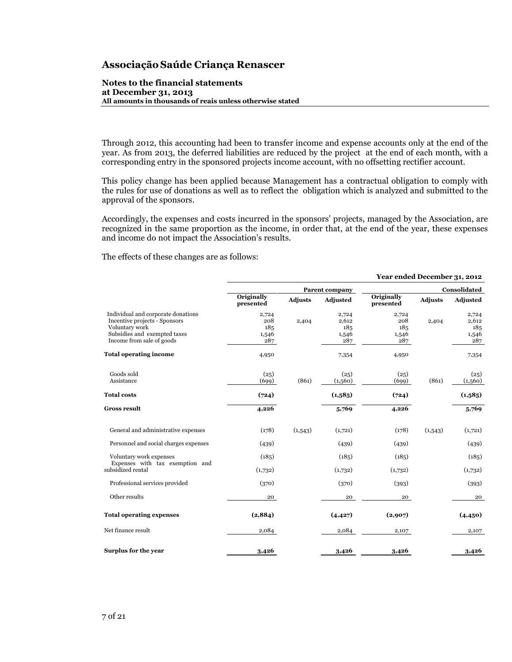#### **Notes to the financial statements at December 31, 2013 All amounts in thousands of reais unless otherwise stated**

Through 2012, this accounting had been to transfer income and expense accounts only at the end of the year. As from 2013, the deferred liabilities are reduced by the project at the end of each month, with a corresponding entry in the sponsored projects income account, with no offsetting rectifier account.

This policy change has been applied because Management has a contractual obligation to comply with the rules for use of donations as well as to reflect the obligation which is analyzed and submitted to the approval of the sponsors.

Accordingly, the expenses and costs incurred in the sponsors' projects, managed by the Association, are recognized in the same proportion as the income, in order that, at the end of the year, these expenses and income do not impact the Association's results.

The effects of these changes are as follows:

|                                                                                                                                                    | Year ended December 31, 2012        |                |                                       |                                     |                |                                       |
|----------------------------------------------------------------------------------------------------------------------------------------------------|-------------------------------------|----------------|---------------------------------------|-------------------------------------|----------------|---------------------------------------|
|                                                                                                                                                    |                                     |                | Parent company                        |                                     |                | Consolidated                          |
|                                                                                                                                                    | Originally<br>presented             | <b>Adjusts</b> | Adjusted                              | Originally<br>presented             | <b>Adjusts</b> | Adjusted                              |
| Individual and corporate donations<br>Incentive projects - Sponsors<br>Voluntary work<br>Subsidies and exempted taxes<br>Income from sale of goods | 2,724<br>208<br>185<br>1,546<br>287 | 2,404          | 2,724<br>2,612<br>185<br>1,546<br>287 | 2,724<br>208<br>185<br>1,546<br>287 | 2,404          | 2,724<br>2,612<br>185<br>1,546<br>287 |
| <b>Total operating income</b>                                                                                                                      | 4,950                               |                | 7,354                                 | 4,950                               |                | 7,354                                 |
| Goods sold<br>Assistance                                                                                                                           | (25)<br>(699)                       | (861)          | (25)<br>(1,560)                       | (25)<br>(699)                       | (861)          | (25)<br>(1,560)                       |
| <b>Total costs</b>                                                                                                                                 | (724)                               |                | (1,585)                               | (724)                               |                | (1,585)                               |
| <b>Gross result</b>                                                                                                                                | 4,226                               |                | 5,769                                 | 4,226                               |                | 5,769                                 |
| General and administrative expenses                                                                                                                | (178)                               | (1,543)        | (1,721)                               | (178)                               | (1,543)        | (1,721)                               |
| Personnel and social charges expenses                                                                                                              | (439)                               |                | (439)                                 | (439)                               |                | (439)                                 |
| Voluntary work expenses                                                                                                                            | (185)                               |                | (185)                                 | (185)                               |                | (185)                                 |
| Expenses with tax exemption and<br>subsidized rental                                                                                               | (1,732)                             |                | (1,732)                               | (1,732)                             |                | (1,732)                               |
| Professional services provided                                                                                                                     | (370)                               |                | (370)                                 | (393)                               |                | (393)                                 |
| Other results                                                                                                                                      | 20                                  |                | 20                                    | 20                                  |                | 20                                    |
| <b>Total operating expenses</b>                                                                                                                    | (2,884)                             |                | (4, 427)                              | (2,907)                             |                | (4,450)                               |
| Net finance result                                                                                                                                 | 2,084                               |                | 2,084                                 | 2,107                               |                | 2,107                                 |
| Surplus for the year                                                                                                                               | 3,426                               |                | 3,426                                 | 3,426                               |                | 3,426                                 |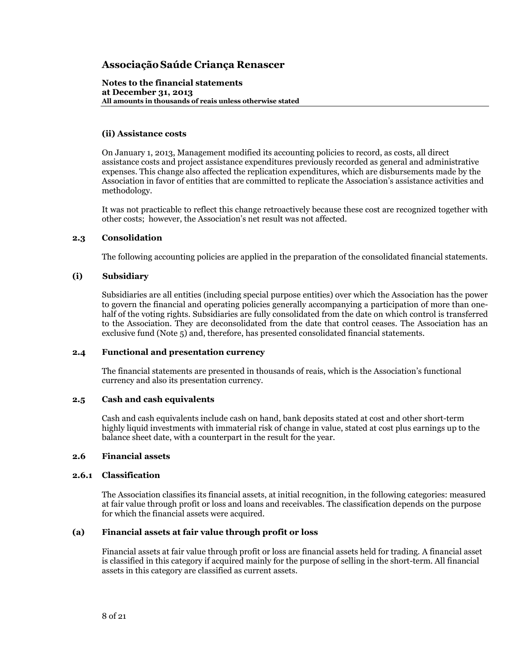**Notes to the financial statements at December 31, 2013 All amounts in thousands of reais unless otherwise stated**

## **(ii) Assistance costs**

On January 1, 2013, Management modified its accounting policies to record, as costs, all direct assistance costs and project assistance expenditures previously recorded as general and administrative expenses. This change also affected the replication expenditures, which are disbursements made by the Association in favor of entities that are committed to replicate the Association's assistance activities and methodology.

It was not practicable to reflect this change retroactively because these cost are recognized together with other costs; however, the Association's net result was not affected.

## **2.3 Consolidation**

The following accounting policies are applied in the preparation of the consolidated financial statements.

## **(i) Subsidiary**

Subsidiaries are all entities (including special purpose entities) over which the Association has the power to govern the financial and operating policies generally accompanying a participation of more than onehalf of the voting rights. Subsidiaries are fully consolidated from the date on which control is transferred to the Association. They are deconsolidated from the date that control ceases. The Association has an exclusive fund (Note 5) and, therefore, has presented consolidated financial statements.

## **2.4 Functional and presentation currency**

The financial statements are presented in thousands of reais, which is the Association's functional currency and also its presentation currency.

## **2.5 Cash and cash equivalents**

Cash and cash equivalents include cash on hand, bank deposits stated at cost and other short-term highly liquid investments with immaterial risk of change in value, stated at cost plus earnings up to the balance sheet date, with a counterpart in the result for the year.

## **2.6 Financial assets**

## **2.6.1 Classification**

The Association classifies its financial assets, at initial recognition, in the following categories: measured at fair value through profit or loss and loans and receivables. The classification depends on the purpose for which the financial assets were acquired.

## **(a) Financial assets at fair value through profit or loss**

Financial assets at fair value through profit or loss are financial assets held for trading. A financial asset is classified in this category if acquired mainly for the purpose of selling in the short-term. All financial assets in this category are classified as current assets.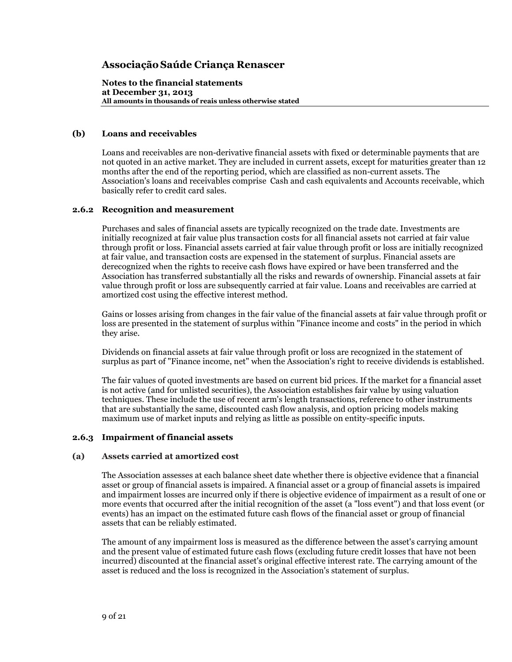**Notes to the financial statements at December 31, 2013 All amounts in thousands of reais unless otherwise stated**

## **(b) Loans and receivables**

Loans and receivables are non-derivative financial assets with fixed or determinable payments that are not quoted in an active market. They are included in current assets, except for maturities greater than 12 months after the end of the reporting period, which are classified as non-current assets. The Association's loans and receivables comprise Cash and cash equivalents and Accounts receivable, which basically refer to credit card sales.

## **2.6.2 Recognition and measurement**

Purchases and sales of financial assets are typically recognized on the trade date. Investments are initially recognized at fair value plus transaction costs for all financial assets not carried at fair value through profit or loss. Financial assets carried at fair value through profit or loss are initially recognized at fair value, and transaction costs are expensed in the statement of surplus. Financial assets are derecognized when the rights to receive cash flows have expired or have been transferred and the Association has transferred substantially all the risks and rewards of ownership. Financial assets at fair value through profit or loss are subsequently carried at fair value. Loans and receivables are carried at amortized cost using the effective interest method.

Gains or losses arising from changes in the fair value of the financial assets at fair value through profit or loss are presented in the statement of surplus within "Finance income and costs" in the period in which they arise.

Dividends on financial assets at fair value through profit or loss are recognized in the statement of surplus as part of "Finance income, net" when the Association's right to receive dividends is established.

The fair values of quoted investments are based on current bid prices. If the market for a financial asset is not active (and for unlisted securities), the Association establishes fair value by using valuation techniques. These include the use of recent arm's length transactions, reference to other instruments that are substantially the same, discounted cash flow analysis, and option pricing models making maximum use of market inputs and relying as little as possible on entity-specific inputs.

## **2.6.3 Impairment of financial assets**

## **(a) Assets carried at amortized cost**

The Association assesses at each balance sheet date whether there is objective evidence that a financial asset or group of financial assets is impaired. A financial asset or a group of financial assets is impaired and impairment losses are incurred only if there is objective evidence of impairment as a result of one or more events that occurred after the initial recognition of the asset (a "loss event") and that loss event (or events) has an impact on the estimated future cash flows of the financial asset or group of financial assets that can be reliably estimated.

The amount of any impairment loss is measured as the difference between the asset's carrying amount and the present value of estimated future cash flows (excluding future credit losses that have not been incurred) discounted at the financial asset's original effective interest rate. The carrying amount of the asset is reduced and the loss is recognized in the Association's statement of surplus.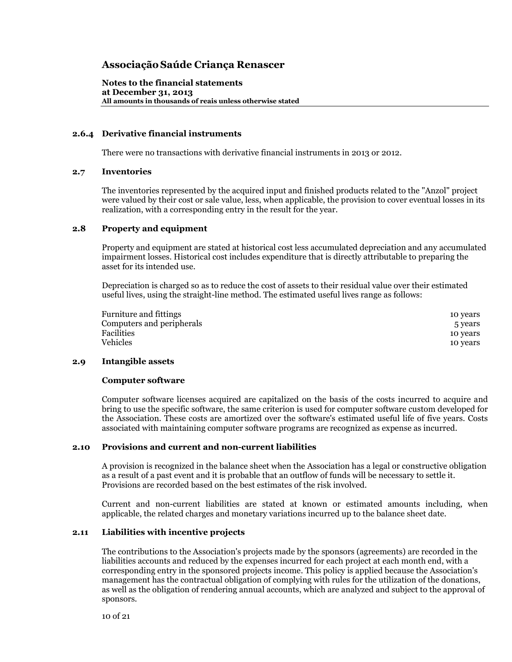**Notes to the financial statements at December 31, 2013 All amounts in thousands of reais unless otherwise stated**

## **2.6.4 Derivative financial instruments**

There were no transactions with derivative financial instruments in 2013 or 2012.

#### **2.7 Inventories**

The inventories represented by the acquired input and finished products related to the "Anzol" project were valued by their cost or sale value, less, when applicable, the provision to cover eventual losses in its realization, with a corresponding entry in the result for the year.

#### **2.8 Property and equipment**

Property and equipment are stated at historical cost less accumulated depreciation and any accumulated impairment losses. Historical cost includes expenditure that is directly attributable to preparing the asset for its intended use.

Depreciation is charged so as to reduce the cost of assets to their residual value over their estimated useful lives, using the straight-line method. The estimated useful lives range as follows:

| 10 years |
|----------|
| 5 years  |
| 10 years |
| 10 years |
|          |

#### **2.9 Intangible assets**

#### **Computer software**

Computer software licenses acquired are capitalized on the basis of the costs incurred to acquire and bring to use the specific software, the same criterion is used for computer software custom developed for the Association. These costs are amortized over the software's estimated useful life of five years. Costs associated with maintaining computer software programs are recognized as expense as incurred.

#### **2.10 Provisions and current and non-current liabilities**

A provision is recognized in the balance sheet when the Association has a legal or constructive obligation as a result of a past event and it is probable that an outflow of funds will be necessary to settle it. Provisions are recorded based on the best estimates of the risk involved.

Current and non-current liabilities are stated at known or estimated amounts including, when applicable, the related charges and monetary variations incurred up to the balance sheet date.

#### **2.11 Liabilities with incentive projects**

The contributions to the Association's projects made by the sponsors (agreements) are recorded in the liabilities accounts and reduced by the expenses incurred for each project at each month end, with a corresponding entry in the sponsored projects income. This policy is applied because the Association's management has the contractual obligation of complying with rules for the utilization of the donations, as well as the obligation of rendering annual accounts, which are analyzed and subject to the approval of sponsors.

10 of 21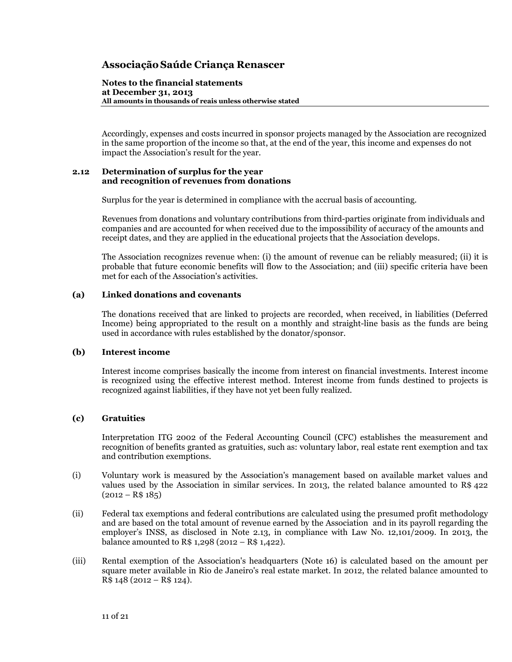#### **Notes to the financial statements at December 31, 2013 All amounts in thousands of reais unless otherwise stated**

Accordingly, expenses and costs incurred in sponsor projects managed by the Association are recognized in the same proportion of the income so that, at the end of the year, this income and expenses do not impact the Association's result for the year.

#### **2.12 Determination of surplus for the year and recognition of revenues from donations**

Surplus for the year is determined in compliance with the accrual basis of accounting.

Revenues from donations and voluntary contributions from third-parties originate from individuals and companies and are accounted for when received due to the impossibility of accuracy of the amounts and receipt dates, and they are applied in the educational projects that the Association develops.

The Association recognizes revenue when: (i) the amount of revenue can be reliably measured; (ii) it is probable that future economic benefits will flow to the Association; and (iii) specific criteria have been met for each of the Association's activities.

## **(a) Linked donations and covenants**

The donations received that are linked to projects are recorded, when received, in liabilities (Deferred Income) being appropriated to the result on a monthly and straight-line basis as the funds are being used in accordance with rules established by the donator/sponsor.

## **(b) Interest income**

Interest income comprises basically the income from interest on financial investments. Interest income is recognized using the effective interest method. Interest income from funds destined to projects is recognized against liabilities, if they have not yet been fully realized.

## **(c) Gratuities**

Interpretation ITG 2002 of the Federal Accounting Council (CFC) establishes the measurement and recognition of benefits granted as gratuities, such as: voluntary labor, real estate rent exemption and tax and contribution exemptions.

- (i) Voluntary work is measured by the Association's management based on available market values and values used by the Association in similar services. In 2013, the related balance amounted to R\$ 422  $(2012 - R$ 185)$
- (ii) Federal tax exemptions and federal contributions are calculated using the presumed profit methodology and are based on the total amount of revenue earned by the Association and in its payroll regarding the employer's INSS, as disclosed in Note 2.13, in compliance with Law No. 12,101/2009. In 2013, the balance amounted to R\$ 1,298 (2012 – R\$ 1,422).
- (iii) Rental exemption of the Association's headquarters (Note 16) is calculated based on the amount per square meter available in Rio de Janeiro's real estate market. In 2012, the related balance amounted to R\$ 148 (2012 – R\$ 124).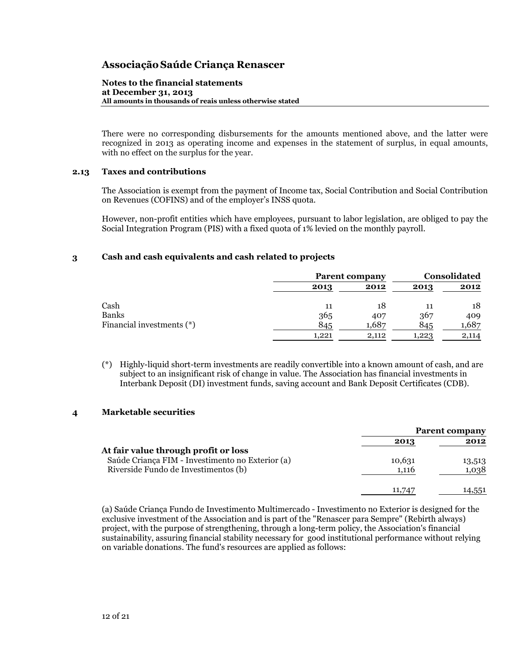#### **Notes to the financial statements at December 31, 2013 All amounts in thousands of reais unless otherwise stated**

There were no corresponding disbursements for the amounts mentioned above, and the latter were recognized in 2013 as operating income and expenses in the statement of surplus, in equal amounts, with no effect on the surplus for the year.

## **2.13 Taxes and contributions**

The Association is exempt from the payment of Income tax, Social Contribution and Social Contribution on Revenues (COFINS) and of the employer's INSS quota.

However, non-profit entities which have employees, pursuant to labor legislation, are obliged to pay the Social Integration Program (PIS) with a fixed quota of 1% levied on the monthly payroll.

## **3 Cash and cash equivalents and cash related to projects**

|                           |       | <b>Parent company</b> |       | <b>Consolidated</b> |  |
|---------------------------|-------|-----------------------|-------|---------------------|--|
|                           | 2013  | 2012                  | 2013  | 2012                |  |
| Cash                      | 11    | 18                    | 11    | 18                  |  |
| <b>Banks</b>              | 365   | 407                   | 367   | 409                 |  |
| Financial investments (*) | 845   | 1,687                 | 845   | 1,687               |  |
|                           | 1,221 | 2,112                 | 1,223 | 2,114               |  |

(\*) Highly-liquid short-term investments are readily convertible into a known amount of cash, and are subject to an insignificant risk of change in value. The Association has financial investments in Interbank Deposit (DI) investment funds, saving account and Bank Deposit Certificates (CDB).

## **4 Marketable securities**

|                                                                                                                                  |                 | <b>Parent company</b> |
|----------------------------------------------------------------------------------------------------------------------------------|-----------------|-----------------------|
|                                                                                                                                  | 2013            | 2012                  |
| At fair value through profit or loss<br>Saúde Criança FIM - Investimento no Exterior (a)<br>Riverside Fundo de Investimentos (b) | 10,631<br>1,116 | 13,513<br>1,038       |
|                                                                                                                                  | 11.747          | 14,551                |

(a) Saúde Criança Fundo de Investimento Multimercado - Investimento no Exterior is designed for the exclusive investment of the Association and is part of the "Renascer para Sempre" (Rebirth always) project, with the purpose of strengthening, through a long-term policy, the Association's financial sustainability, assuring financial stability necessary for good institutional performance without relying on variable donations. The fund's resources are applied as follows: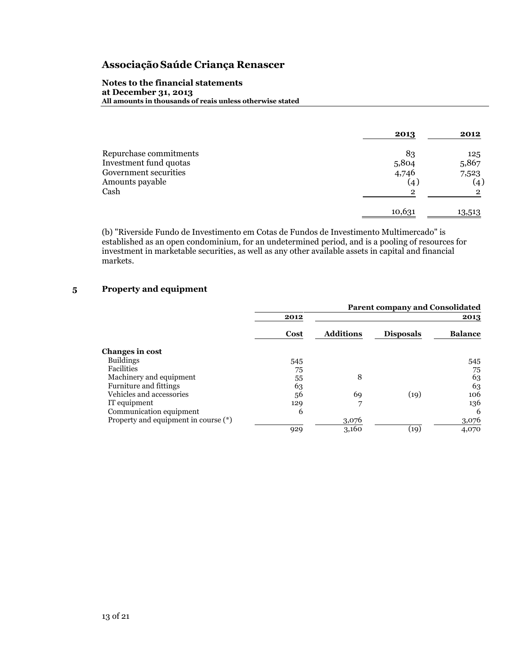#### **Notes to the financial statements at December 31, 2013 All amounts in thousands of reais unless otherwise stated**

|                        | 2013   | 2012              |
|------------------------|--------|-------------------|
| Repurchase commitments | 83     | 125               |
| Investment fund quotas | 5,804  | 5,867             |
| Government securities  | 4,746  | 7,523             |
| Amounts payable        | (4)    | $\left( 4\right)$ |
| Cash                   | 2      | າ                 |
|                        | 10,631 | 13,513            |

(b) "Riverside Fundo de Investimento em Cotas de Fundos de Investimento Multimercado" is established as an open condominium, for an undetermined period, and is a pooling of resources for investment in marketable securities, as well as any other available assets in capital and financial markets.

## **5 Property and equipment**

|                                      |      |                  | <b>Parent company and Consolidated</b> |                |
|--------------------------------------|------|------------------|----------------------------------------|----------------|
|                                      | 2012 |                  |                                        | 2013           |
|                                      | Cost | <b>Additions</b> | <b>Disposals</b>                       | <b>Balance</b> |
| Changes in cost                      |      |                  |                                        |                |
| <b>Buildings</b>                     | 545  |                  |                                        | 545            |
| <b>Facilities</b>                    | 75   |                  |                                        | 75             |
| Machinery and equipment              | 55   | 8                |                                        | 63             |
| Furniture and fittings               | 63   |                  |                                        | 63             |
| Vehicles and accessories             | 56   | 69               | (19)                                   | 106            |
| IT equipment                         | 129  | 7                |                                        | 136            |
| Communication equipment              | 6    |                  |                                        | 6              |
| Property and equipment in course (*) |      | 3,076            |                                        | 3,076          |
|                                      | 929  | 3,160            | (19)                                   | 4,070          |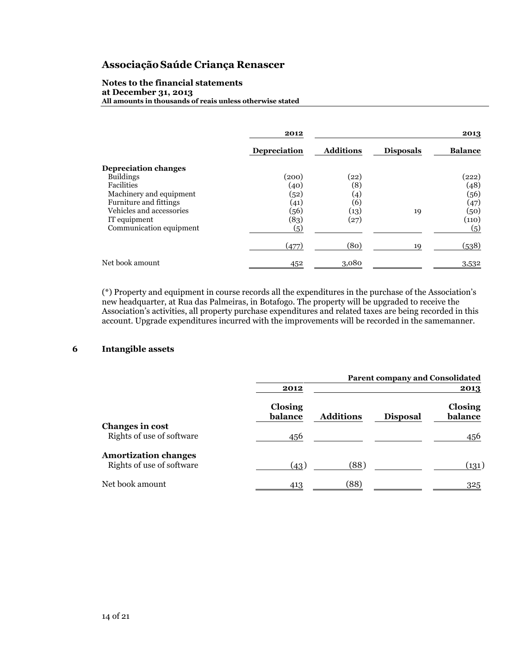#### **Notes to the financial statements at December 31, 2013 All amounts in thousands of reais unless otherwise stated**

|                             | 2012                |                    |                  | 2013           |
|-----------------------------|---------------------|--------------------|------------------|----------------|
|                             | <b>Depreciation</b> | <b>Additions</b>   | <b>Disposals</b> | <b>Balance</b> |
| <b>Depreciation changes</b> |                     |                    |                  |                |
| <b>Buildings</b>            | (200)               | $\left( 22\right)$ |                  | (222)          |
| Facilities                  | (40)                | (8)                |                  | (48)           |
| Machinery and equipment     | (52)                | (4)                |                  | (56)           |
| Furniture and fittings      | (41)                | (6)                |                  | (47)           |
| Vehicles and accessories    | (56)                | (13)               | 19               | (50)           |
| IT equipment                | (83)                | (27)               |                  | (110)          |
| Communication equipment     | $\left( 5\right)$   |                    |                  | (5)            |
|                             | (477)               | (80)               | 19               | (538)          |
| Net book amount             | 452                 | 3,080              |                  | 3,532          |

(\*) Property and equipment in course records all the expenditures in the purchase of the Association's new headquarter, at Rua das Palmeiras, in Botafogo. The property will be upgraded to receive the Association's activities, all property purchase expenditures and related taxes are being recorded in this account. Upgrade expenditures incurred with the improvements will be recorded in the samemanner.

## **6 Intangible assets**

|                                                          | <b>Parent company and Consolidated</b> |                  |                 |                    |
|----------------------------------------------------------|----------------------------------------|------------------|-----------------|--------------------|
|                                                          | 2012                                   |                  |                 | 2013               |
|                                                          | Closing<br>balance                     | <b>Additions</b> | <b>Disposal</b> | Closing<br>balance |
| Changes in cost<br>Rights of use of software             | 456                                    |                  |                 | 456                |
| <b>Amortization changes</b><br>Rights of use of software | (43)                                   | (88)             |                 | (131)              |
| Net book amount                                          | 413                                    | (88)             |                 | 325                |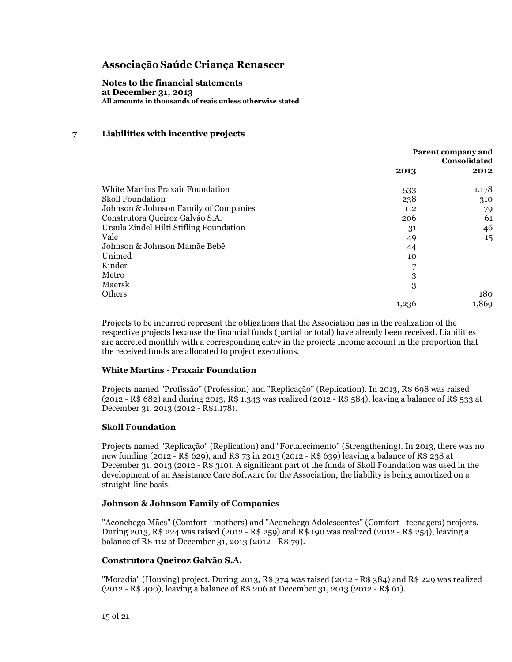**Notes to the financial statements at December 31, 2013 All amounts in thousands of reais unless otherwise stated**

## **7 Liabilities with incentive projects**

|                                         | Parent company and<br>Consolidated |       |
|-----------------------------------------|------------------------------------|-------|
|                                         | 2013                               | 2012  |
| White Martins Praxair Foundation        | 533                                | 1.178 |
| <b>Skoll Foundation</b>                 | 238                                | 310   |
| Johnson & Johnson Family of Companies   | 112                                | 79    |
| Construtora Queiroz Galvão S.A.         | 206                                | 61    |
| Ursula Zindel Hilti Stifling Foundation | 31                                 | 46    |
| Vale                                    | 49                                 | 15    |
| Johnson & Johnson Mamãe Bebê            | 44                                 |       |
| Unimed                                  | 10                                 |       |
| Kinder                                  |                                    |       |
| Metro                                   | 3                                  |       |
| Maersk                                  | 3                                  |       |
| Others                                  |                                    | 180   |
|                                         | 1,236                              | 1,869 |

Projects to be incurred represent the obligations that the Association has in the realization of the respective projects because the financial funds (partial or total) have already been received. Liabilities are accreted monthly with a corresponding entry in the projects income account in the proportion that the received funds are allocated to project executions.

## **White Martins - Praxair Foundation**

Projects named "Profissão" (Profession) and "Replicação" (Replication). In 2013, R\$ 698 was raised (2012 - R\$ 682) and during 2013, R\$ 1,343 was realized (2012 - R\$ 584), leaving a balance of R\$ 533 at December 31, 2013 (2012 - R\$1,178).

## **Skoll Foundation**

Projects named "Replicação" (Replication) and "Fortalecimento" (Strengthening). In 2013, there was no new funding (2012 - R\$ 629), and R\$ 73 in 2013 (2012 - R\$ 639) leaving a balance of R\$ 238 at December 31, 2013 (2012 - R\$ 310). A significant part of the funds of Skoll Foundation was used in the development of an Assistance Care Software for the Association, the liability is being amortized on a straight-line basis.

## **Johnson & Johnson Family of Companies**

"Aconchego Mães" (Comfort - mothers) and "Aconchego Adolescentes" (Comfort - teenagers) projects. During 2013, R\$ 224 was raised (2012 - R\$ 259) and R\$ 190 was realized (2012 - R\$ 254), leaving a balance of R\$ 112 at December 31, 2013 (2012 - R\$ 79).

## **Construtora Queiroz Galvão S.A.**

"Moradia" (Housing) project. During 2013, R\$ 374 was raised (2012 - R\$ 384) and R\$ 229 was realized (2012 - R\$ 400), leaving a balance of R\$ 206 at December 31, 2013 (2012 - R\$ 61).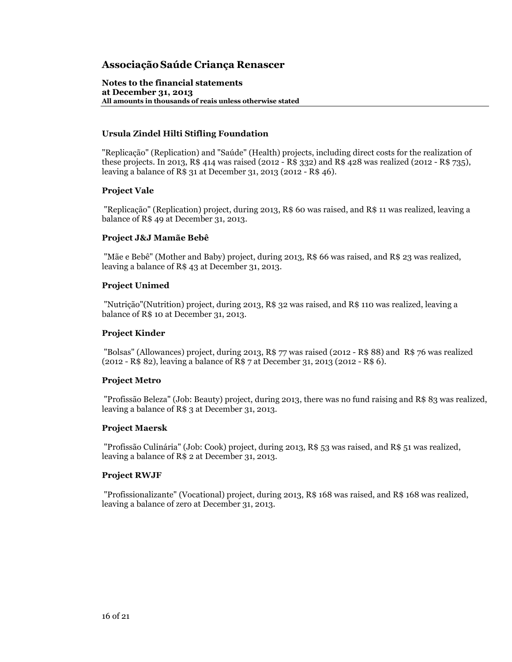**Notes to the financial statements at December 31, 2013 All amounts in thousands of reais unless otherwise stated**

## **Ursula Zindel Hilti Stifling Foundation**

"Replicação" (Replication) and "Saúde" (Health) projects, including direct costs for the realization of these projects. In 2013, R\$ 414 was raised (2012 - R\$ 332) and R\$ 428 was realized (2012 - R\$ 735), leaving a balance of R\$ 31 at December 31, 2013 (2012 - R\$ 46).

## **Project Vale**

"Replicação" (Replication) project, during 2013, R\$ 60 was raised, and R\$ 11 was realized, leaving a balance of R\$ 49 at December 31, 2013.

## **Project J&J Mamãe Bebê**

"Mãe e Bebê" (Mother and Baby) project, during 2013, R\$ 66 was raised, and R\$ 23 was realized, leaving a balance of R\$ 43 at December 31, 2013.

## **Project Unimed**

"Nutrição"(Nutrition) project, during 2013, R\$ 32 was raised, and R\$ 110 was realized, leaving a balance of R\$ 10 at December 31, 2013.

## **Project Kinder**

"Bolsas" (Allowances) project, during 2013, R\$ 77 was raised (2012 - R\$ 88) and R\$ 76 was realized (2012 - R\$ 82), leaving a balance of R\$ 7 at December 31, 2013 (2012 - R\$ 6).

## **Project Metro**

"Profissão Beleza" (Job: Beauty) project, during 2013, there was no fund raising and R\$ 83 was realized, leaving a balance of R\$ 3 at December 31, 2013.

## **Project Maersk**

"Profissão Culinária" (Job: Cook) project, during 2013, R\$ 53 was raised, and R\$ 51 was realized, leaving a balance of R\$ 2 at December 31, 2013.

## **Project RWJF**

"Profissionalizante" (Vocational) project, during 2013, R\$ 168 was raised, and R\$ 168 was realized, leaving a balance of zero at December 31, 2013.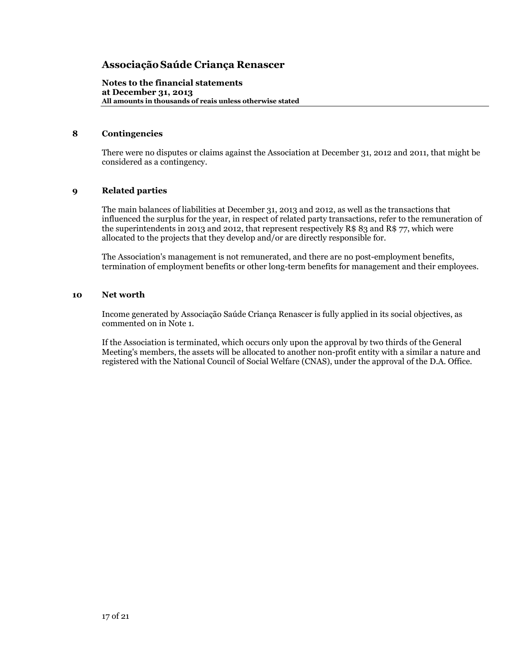**Notes to the financial statements at December 31, 2013 All amounts in thousands of reais unless otherwise stated**

## **8 Contingencies**

There were no disputes or claims against the Association at December 31, 2012 and 2011, that might be considered as a contingency.

## **9 Related parties**

The main balances of liabilities at December 31, 2013 and 2012, as well as the transactions that influenced the surplus for the year, in respect of related party transactions, refer to the remuneration of the superintendents in 2013 and 2012, that represent respectively R\$ 83 and R\$ 77, which were allocated to the projects that they develop and/or are directly responsible for.

The Association's management is not remunerated, and there are no post-employment benefits, termination of employment benefits or other long-term benefits for management and their employees.

#### **10 Net worth**

Income generated by Associação Saúde Criança Renascer is fully applied in its social objectives, as commented on in Note 1.

If the Association is terminated, which occurs only upon the approval by two thirds of the General Meeting's members, the assets will be allocated to another non-profit entity with a similar a nature and registered with the National Council of Social Welfare (CNAS), under the approval of the D.A. Office.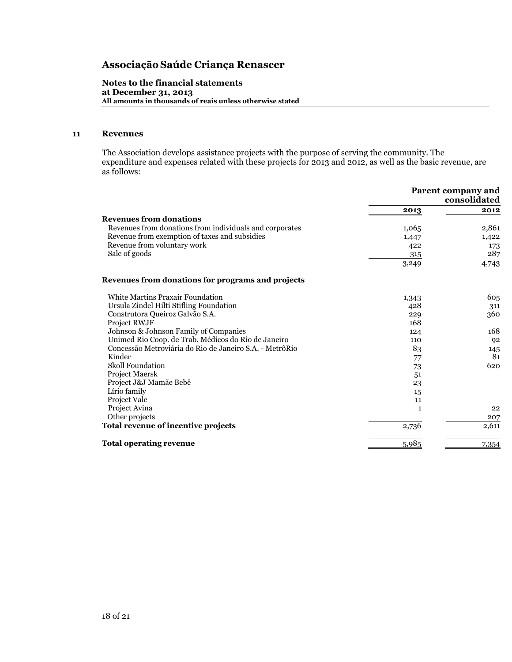**Notes to the financial statements at December 31, 2013 All amounts in thousands of reais unless otherwise stated**

## **11 Revenues**

The Association develops assistance projects with the purpose of serving the community. The expenditure and expenses related with these projects for 2013 and 2012, as well as the basic revenue, are as follows:

|                                                         |       | <b>Parent company and</b><br>consolidated |  |
|---------------------------------------------------------|-------|-------------------------------------------|--|
|                                                         | 2013  | 2012                                      |  |
| <b>Revenues from donations</b>                          |       |                                           |  |
| Revenues from donations from individuals and corporates | 1,065 | 2,861                                     |  |
| Revenue from exemption of taxes and subsidies           | 1,447 | 1,422                                     |  |
| Revenue from voluntary work                             | 422   | 173                                       |  |
| Sale of goods                                           | 315   | 287                                       |  |
|                                                         | 3,249 | 4,743                                     |  |
| Revenues from donations for programs and projects       |       |                                           |  |
| White Martins Praxair Foundation                        | 1,343 | 605                                       |  |
| Ursula Zindel Hilti Stifling Foundation                 | 428   | 311                                       |  |
| Construtora Queiroz Galvão S.A.                         | 229   | 360                                       |  |
| Project RWJF                                            | 168   |                                           |  |
| Johnson & Johnson Family of Companies                   | 124   | 168                                       |  |
| Unimed Rio Coop. de Trab. Médicos do Rio de Janeiro     | 110   | 92                                        |  |
| Concessão Metroviária do Rio de Janeiro S.A. - MetrôRio | 83    | 145                                       |  |
| Kinder                                                  | 77    | 81                                        |  |
| <b>Skoll Foundation</b>                                 | 73    | 620                                       |  |
| Project Maersk                                          | 51    |                                           |  |
| Project J&J Mamãe Bebê                                  | 23    |                                           |  |
| Lírio family                                            | 15    |                                           |  |
| Project Vale                                            | 11    |                                           |  |
| Project Avina                                           | 1     | 22                                        |  |
| Other projects                                          |       | 207                                       |  |
| Total revenue of incentive projects                     | 2,736 | 2,611                                     |  |
| <b>Total operating revenue</b>                          | 5,985 | 7,354                                     |  |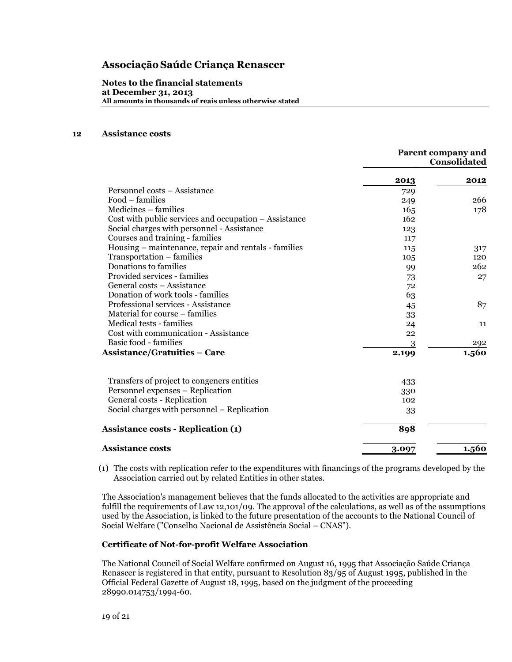**Notes to the financial statements at December 31, 2013 All amounts in thousands of reais unless otherwise stated**

## **12 Assistance costs**

|                                                       | <b>Parent company and</b><br>Consolidated |       |
|-------------------------------------------------------|-------------------------------------------|-------|
|                                                       | 2013                                      | 2012  |
| Personnel costs - Assistance                          | 729                                       |       |
| Food - families                                       | 249                                       | 266   |
| Medicines – families                                  | 16 <sub>5</sub>                           | 178   |
| Cost with public services and occupation - Assistance | 162                                       |       |
| Social charges with personnel - Assistance            | 123                                       |       |
| Courses and training - families                       | 117                                       |       |
| Housing – maintenance, repair and rentals - families  | 115                                       | 317   |
| Transportation - families                             | 105                                       | 120   |
| Donations to families                                 | 99                                        | 262   |
| Provided services - families                          | 73                                        | 27    |
| General costs – Assistance                            | 72                                        |       |
| Donation of work tools - families                     | 63                                        |       |
| Professional services - Assistance                    | 45                                        | 87    |
| Material for course – families                        | 33                                        |       |
| Medical tests - families                              | 24                                        | 11    |
| Cost with communication - Assistance                  | 22                                        |       |
| Basic food - families                                 | 3                                         | 292   |
| <b>Assistance/Gratuities - Care</b>                   | 2.199                                     | 1.560 |
| Transfers of project to congeners entities            | 433                                       |       |
| Personnel expenses - Replication                      | 330                                       |       |
| General costs - Replication                           | 102                                       |       |
| Social charges with personnel – Replication           | 33                                        |       |
| <b>Assistance costs - Replication (1)</b>             | 898                                       |       |
| <b>Assistance costs</b>                               | 3.097                                     | 1.560 |

(1) The costs with replication refer to the expenditures with financings of the programs developed by the Association carried out by related Entities in other states.

The Association's management believes that the funds allocated to the activities are appropriate and fulfill the requirements of Law 12,101/09. The approval of the calculations, as well as of the assumptions used by the Association, is linked to the future presentation of the accounts to the National Council of Social Welfare ("Conselho Nacional de Assistência Social – CNAS").

## **Certificate of Not-for-profit Welfare Association**

The National Council of Social Welfare confirmed on August 16, 1995 that Associação Saúde Criança Renascer is registered in that entity, pursuant to Resolution 83/95 of August 1995, published in the Official Federal Gazette of August 18, 1995, based on the judgment of the proceeding 28990.014753/1994-60.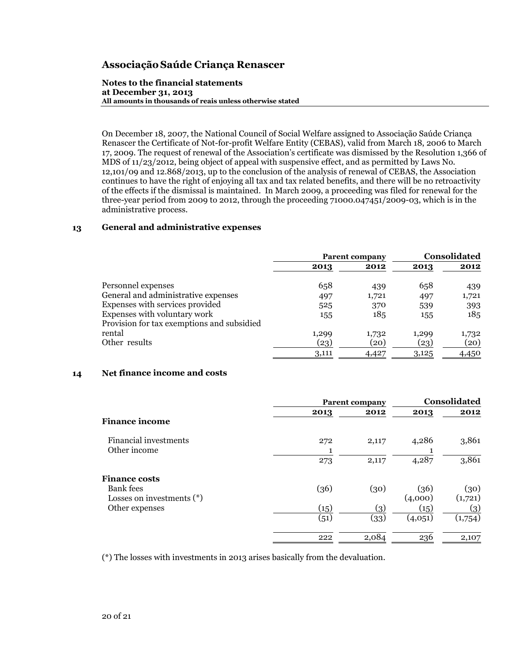#### **Notes to the financial statements at December 31, 2013 All amounts in thousands of reais unless otherwise stated**

On December 18, 2007, the National Council of Social Welfare assigned to Associação Saúde Criança Renascer the Certificate of Not-for-profit Welfare Entity (CEBAS), valid from March 18, 2006 to March 17, 2009. The request of renewal of the Association's certificate was dismissed by the Resolution 1,366 of MDS of 11/23/2012, being object of appeal with suspensive effect, and as permitted by Laws No. 12,101/09 and 12.868/2013, up to the conclusion of the analysis of renewal of CEBAS, the Association continues to have the right of enjoying all tax and tax related benefits, and there will be no retroactivity of the effects if the dismissal is maintained. In March 2009, a proceeding was filed for renewal for the three-year period from 2009 to 2012, through the proceeding 71000.047451/2009-03, which is in the administrative process.

## **13 General and administrative expenses**

|                                                                            | <b>Parent company</b> |       | <b>Consolidated</b> |       |
|----------------------------------------------------------------------------|-----------------------|-------|---------------------|-------|
|                                                                            | 2013                  | 2012  | 2013                | 2012  |
| Personnel expenses                                                         | 658                   | 439   | 658                 | 439   |
| General and administrative expenses                                        | 497                   | 1,721 | 497                 | 1,721 |
| Expenses with services provided                                            | 525                   | 370   | 539                 | 393   |
| Expenses with voluntary work<br>Provision for tax exemptions and subsidied | 155                   | 185   | 155                 | 185   |
| rental                                                                     | 1,299                 | 1,732 | 1,299               | 1,732 |
| Other results                                                              | (23)                  | (20)  | (23)                | (20)  |
|                                                                            | 3,111                 | 4,427 | 3,125               | 4,450 |

## **14 Net finance income and costs**

|                                          | <b>Parent company</b> |                   |                 | Consolidated    |  |
|------------------------------------------|-----------------------|-------------------|-----------------|-----------------|--|
|                                          | 2013                  | 2012              | 2013            | 2012            |  |
| <b>Finance income</b>                    |                       |                   |                 |                 |  |
| Financial investments<br>Other income    | 272                   | 2,117             | 4,286           | 3,861           |  |
|                                          | 273                   | 2,117             | 4,287           | 3,861           |  |
| <b>Finance costs</b>                     |                       |                   |                 |                 |  |
| Bank fees<br>Losses on investments $(*)$ | (36)                  | (30)              | (36)<br>(4,000) | (30)<br>(1,721) |  |
| Other expenses                           | (15)                  | $\left( 3\right)$ | (15)            | (3)             |  |
|                                          | (51)                  | (33)              | (4,051)         | (1,754)         |  |
|                                          | 222                   | 2,084             | 236             | 2,107           |  |

(\*) The losses with investments in 2013 arises basically from the devaluation.